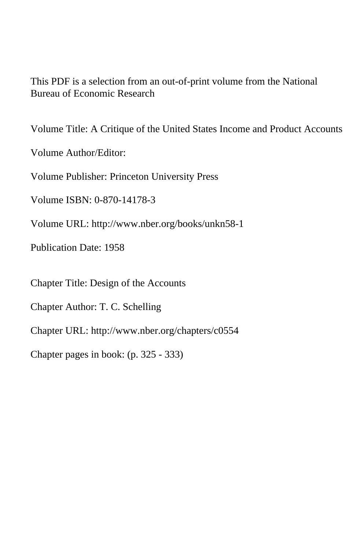This PDF is a selection from an out-of-print volume from the National Bureau of Economic Research

Volume Title: A Critique of the United States Income and Product Accounts

Volume Author/Editor:

Volume Publisher: Princeton University Press

Volume ISBN: 0-870-14178-3

Volume URL: http://www.nber.org/books/unkn58-1

Publication Date: 1958

Chapter Title: Design of the Accounts

Chapter Author: T. C. Schelling

Chapter URL: http://www.nber.org/chapters/c0554

Chapter pages in book: (p. 325 - 333)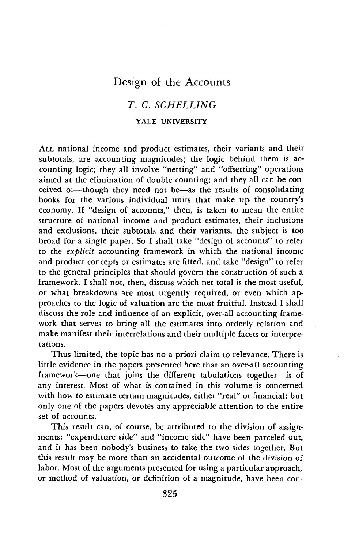# Design of the Accounts

## T. C. SCHELLING

### YALE UNIVERSITY

ALL national income and product estimates, their variants and their subtotals, are accounting magnitudes; the logic behind them is accounting logic; they all involve "netting" and "offsetting" operations aimed at the elimination of double counting; and they all can be conceived of—though they need not be—as the results of consolidating books for the various individual units that make up the country's economy. If "design of accounts," then, is taken to mean the entire structure of national income and product estimates, their inclusions and exclusions, their subtotals and their variants, the subject is too broad for a single paper. So I shall take "design of accounts" to refer to the explicit accounting framework in which the national income and product concepts or estimates are fitted, and take "design" to refer to the general principles that should govern the construction of such a framework. I shall not, then, discuss which net total is the most useful, or what breakdowns are most urgently required, or even which approaches to the logic of valuation are the most fruitful. Instead I shall discuss the role and influence of an explicit, over-all accounting framework that serves to bring all the estimates into orderly relation and make manifest their interrelations and their multiple facets or interpretations.

Thus limited, the topic has no a priori claim to relevance. There is little evidence in the papers presented here that an over-all accounting framework—one that joins the different tabulations together—is of any interest. Most of what is contained in this volume is concerned with how to estimate certain magnitudes, either "real" or financial; but only one of the papers devotes any appreciable attention to the entire set of accounts.

This result can, of course, be attributed to the division of assignments: "expenditure side" and "income side" have been parceled out, and it has been nobody's business to take the two sides together. But this result may be more than an accidental outcome of the division of labor. Most of the arguments presented for using a particular approach, or method of valuation, or definition of a magnitude, have been con-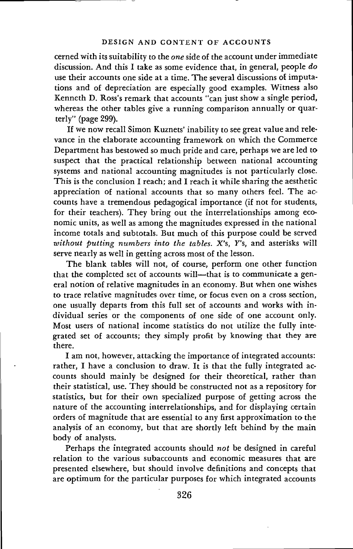#### DESIGN AND CONTENT OF ACCOUNTS

cerned with its suitability to the one side of the account under immediate discussion. And this I take as some evidence that, in general, people do use their accounts one side at a time. The several discussions of imputations and of depreciation are especially good examples. Witness also Kenneth D. Ross's remark that accounts "can just show a single period, whereas the other tables give a running comparison annually or quarterly" (page 299).

If we now recall Simon Kuznets' inability to see great value and relevance in the elaborate accounting framework on which the Commerce Department has bestowed so much pride and care, perhaps we are led to suspect that the practical relationship between national accounting systems and national accounting magnitudes is not particularly close. This is the conclusion I reach; and I reach it while sharing the aesthetic appreciation of national accounts that so many others feel. The accounts have a tremendous pedagogical importance (if not for students, for their teachers). They bring out the interrelationships among economic units, as well as among the magnitudes expressed in the national income totals and subtotals. But much of this purpose could be served without putting numbers into the tables.  $X$ 's,  $Y$ 's, and asterisks will serve nearly as well in getting across most of the lesson.

The blank tables will not, of course, perform one other function that the completed set of accounts will—that is to communicate a general notion of relative magnitudes in an economy. But when one wishes to trace relative magnitudes over time, or focus even on a cross section, one usually departs from this full set of accounts and works with individual series or the components of one side of one account only. Most users of national income statistics do not utilize the fully integrated set of accounts; they simply profit by knowing that they are there.

I am not, however, attacking the importance of integrated accounts: rather, I have a conclusion to draw. It is that the fully integrated accounts should mainly be designed for their theoretical, rather than their statistical, use. They should be constructed not as a repository for statistics, but for their own specialized purpose of getting across the nature of the accounting interrelationships, and for displaying certain orders of magnitude that are essential to any first approximation to the analysis of an economy, but that are shortly left behind by the main body of analysts.

Perhaps the integrated accounts should not be designed in careful relation to the various subaccounts and economic measures that are presented elsewhere, but should involve definitions and concepts that are optimum for the particular purposes for which integrated accounts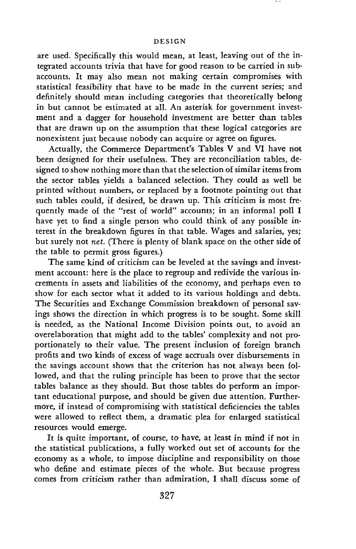#### DESIGN

are used. Specifically this would mean, at least, leaving out of the integrated accounts trivia that have for good reason to be carried in subaccounts. It may also mean not making certain compromises with statistical feasibility that have to be made in the current series; and definitely should mean including categories that theoretically belong in but cannot be estimated at all. An asterisk for government investment and a dagger for household investment are better than tables that are drawn up on the assumption that these logical categories are nonexistent just because nobody can acquire or agree on figures.

Actually, the Commerce Department's Tables V and VI have not been designed for their usefulness. They are reconciliation tables, designed to show nothing more than that the selection of similar items from the sector tables yields a balanced selection. They could as well be printed without numbers, or replaced by a footnote pointing out that such tables could, if desired, be drawn up. This criticism is most frequently made of the "rest of world" accounts; in an informal poll I have yet to find a single person who could think of any possible interest in the breakdown figures in that table. Wages and salaries, yes; but surely not net. (There is plenty of blank space on the other side of the table to permit gross figures.)

The same kind of criticism can be leveled at the savings and investment account: here is the place to regroup and redivide the various increments in assets and liabilities of the economy, and perhaps even to show for each sector what it added to its various holdings and debts. The Securities and Exchange Commission breakdown of personal savings shows the direction in which progress is to be sought. Some skill is needed, as the National Income Division points out, to avoid an overelaboration that might add to the tables' complexity and not proportionately to their value. The present inclusion of foreign branch profits and two kinds of excess of wage accruals over disbursements in the savings account shows that the criterion has not always been followed, and that the ruling principle has been to prove that the sector tables balance as they should. But those tables do perform an important educational purpose, and should be given due attention. Furthermore, if instead of compromising with statistical deficiencies the tables were allowed to reflect them, a dramatic plea for enlarged statistical resources would emerge.

It is quite important, of course, to have, at least in mind if not in the statistical publications, a fully worked out set of accounts for the economy as a whole, to impose discipline and responsibility on those who define and estimate pieces of the whole. But because progress comes from criticism rather than admiration, I shall discuss some of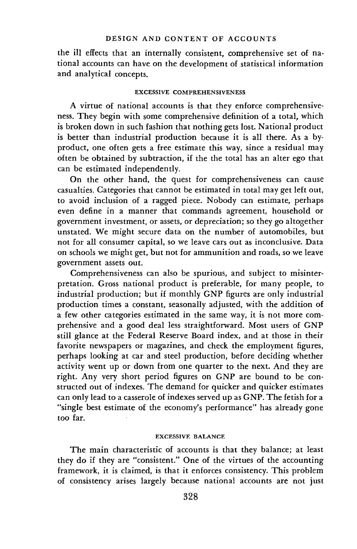the ill effects that an internally consistent, comprehensive set of national accounts can have on the development of statistical information and analytical concepts.

#### EXCESSIVE COMPREHENSIVENESS

A virtue of national accounts is that they enforce comprehensiveness. They begin with some comprehensive definition of a total, which is broken down in such fashion that nothing gets lost. National product is better than industrial production because it is all there. As a byproduct, one often gets a free estimate this way, since a residual may often be obtained by subtraction, if the the total has an alter ego that can be estimated independently.

On the other hand, the quest for comprehensiveness can cause casualties. Categories that cannot be estimated in total may get left out, to avoid inclusion of a ragged piece. Nobody can estimate, perhaps even define in a manner that commands agreement, household or government investment, or assets, or depreciation; so they go altogether unstated. We might secure data on the number of automobiles, but not for all consumer capital, so we leave cars out as inconclusive. Data on schools we might get, but not for ammunition and roads, so we leave government assets out.

Comprehensiveness can also be spurious, and subject to misinterpretation. Gross national product is preferable, for many people, to industrial production; but if monthly GNP figures are only industrial production times a constant, seasonally adjusted, with the addition of a few other categories estimated in the same way, it is not more comprehensive and a good deal less straightforward. Most users of GNP still glance at the Federal Reserve Board index, and at those in their favorite newspapers or magazines, and check the employment figures, perhaps looking at car and steel production, before deciding whether activity went up or down from one quarter to the next. And they are right. Any very short period figures on GNP are bound to be constructed out of indexes. The demand for quicker and quicker estimates can only lead to a casserole of indexes served up as GNP. The fetish for a "single best estimate of the economy's performance" has already gone too far.

### EXCESSIVE BALANCE

The main characteristic of accounts is that they balance; at least they do if they are "consistent." One of the virtues of the accounting framework, it is claimed, is that it enforces consistency. This problem of consistency arises largely because national accounts are not just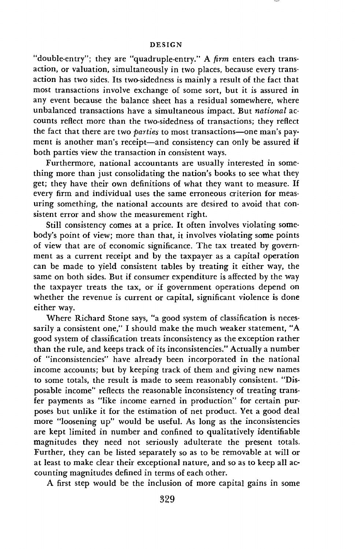"double-entry"; they are "quadruple-entry." A  $\lim$  enters each transaction, or valuation, simultaneously in two places, because every transaction has two sides. Its two-sidedness is mainly a result of the fact that most transactions involve exchange of some sort, but it is assured in any event because the balance sheet has a residual somewhere, where unbalanced transactions have a simultaneous impact. But national accounts reflect more than the two-sidedness of transactions; they reflect the fact that there are two parties to most transactions—one man's payment is another man's receipt—and consistency can only be assured if both parties view the transaction in consistent ways.

Furthermore, national accountants are usually interested in something more than just consolidating the nation's books to see what they get; they have their own definitions of what they want to measure. If every firm and individual uses the same erroneous criterion for measuring something, the national accounts are desired to avoid that consistent error and show the measurement right.

Still consistency comes at a price. It often involves violating somebody's point of view; more than that, it involves violating some points of view that are of economic significance. The tax treated by government as a current receipt and by the taxpayer as a capital operation can be made to yield consistent tables by treating it either way, the same on both sides. But if consumer expenditure is affected by the way the taxpayer treats the tax, or if government operations depend on whether the revenue is current or capital, significant violence is done either way.

Where Richard Stone says, "a good system of classification is necessarily a consistent one," I should make the much weaker statement, "A good system of classification treats inconsistency as the exception rather than the rule, and keeps track of its inconsistencies." Actually a number of "inconsistencies" have already been incorporated in the national income accounts; but by keeping track of them and giving new names to some totals, the result is made to seem reasonably consistent. "Disposable income" reflects the reasonable inconsistency of treating transfer payments as "like income earned in production" for certain purposes but unlike it for the estimation of net product. Yet a good deal more "loosening up" would be useful. As long as the inconsistencies are kept limited in number and confined to qualitatively identifiable magnitudes they need not seriously adulterate the present totals. Further, they can be listed separately so as to be removable at will or at least to make clear their exceptional nature, and so as to keep all accounting magnitudes defined in terms of each other.

A first step would be the inclusion of more capital gains in some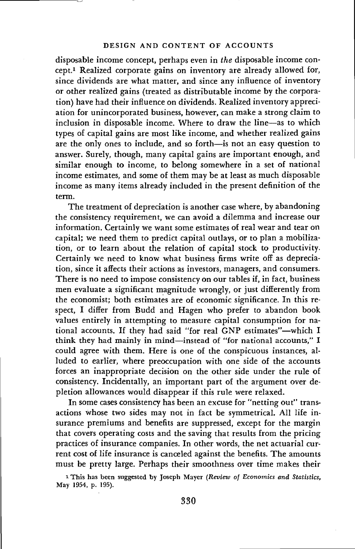### DESIGN AND CONTENT OF ACCOUNTS

disposable income concept, perhaps even in the disposable income concept.1 Realized corporate gains on inventory are already allowed for, since dividends are what matter, and since any influence of inventory or other realized gains (treated as distributable income by the corporation) have had their influence on dividends. Realized inventory appreciation for unincorporated business, however, can make a strong claim to inclusion in disposable income. Where to draw the line—as to which types of capital gains are most like income, and whether realized gains are the only ones to include, and so forth—is not an easy question to answer. Surely, though, many capital gains are important enough, and similar enough to income, to belong somewhere in a set of national income estimates, and some of them may be at least as much disposable income as many items already included in the present definition of the term.

The treatment of depreciation is another case where, by abandoning the consistency requirement, we can avoid a dilemma and increase our information. Certainly we want some estimates of real wear and tear on capital; we need them to predict capital outlays, or to plan a mobilization, or to learn about the relation of capital stock to productivity. Certainly we need to know what business firms write off as depreciation, since it affects their actions as investors, managers, and consumers. There is no need to impose consistency on our tables if, in fact, business men evaluate a significant magnitude wrongly, or just differently from the economist; both estimates are of economic significance. In this respect, I differ from Budd and Hagen who prefer to abandon book values entirely in attempting to measure capital consumption for national accounts. If they had said "for real GNP estimates"—which I think they had mainly in mind—instead of "for national accounts," I could agree with them. Here is one of the conspicuous instances, alluded to earlier, where preoccupation with one side of the accounts forces an inappropriate decision on the other side under the rule of consistency. Incidentally, an important part of the argument over depletion allowances would disappear if this rule were relaxed.

In some cases consistency has been an excuse for "netting out" transactions whose two sides may not in fact be symmetrical. All life insurance premiums and benefits are suppressed, except for the margin that covers operating costs and the saving that results from the pricing practices of insurance companies. In other words, the net actuarial current cost of life insurance is canceled against the benefits. The amounts must be pretty large. Perhaps their smoothness over time makes their

<sup>1</sup> This has been suggested by Joseph Mayer (Review of Economics and Statistics, May 1954, p. 195).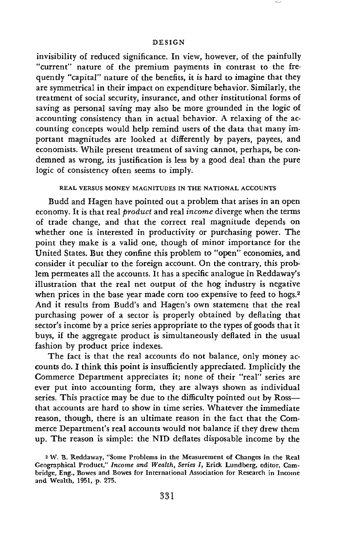#### DESIGN

invisibility of reduced significance. In view, however, of the painfully "current" nature of the premium payments in contrast to the frequently "capital" nature of the benefits, it is hard to imagine that they are symmetrical in their impact on expenditure behavior. Similarly, the treatment of social security, insurance, and other institutional forms of saving as personal saving may also be more grounded in the logic of accounting consistency than in actual behavior. A relaxing of the accounting concepts would help remind users of the data that many important magnitudes are looked at differently by payers, payees, and economists. While present treatment of saving cannot, perhaps, be condemned as wrong, its justification is less by a good deal than the pure logic of consistency often seems to imply.

### REAL VERSUS MONEY MAGNITUDES IN THE NATIONAL ACCOUNTS

Budd and Hagen have pointed out a problem that arises in an open economy. It is that real *product* and real *income* diverge when the terms of trade change, and that the correct real magnitude depends on whether one is interested in productivity or purchasing power. The point they make is a valid one, though of minor importance for the United States. But they confine this problem to "open" economies, and consider it peculiar to the foreign account. On the contrary, this problem permeates all the accounts. It has a specific analogue in Reddaway's illustration that the real net output of the hog industry is negative when prices in the base year made corn too expensive to feed to hogs.<sup>2</sup> And it results from Budd's and Hagen's own statement that the real purchasing power of a sector is properly obtained by deflating that sector's income by a price series appropriate to the types of goods that it buys, if the aggregate product is simultaneously deflated in the usual fashion by product price indexes.

The fact is that the real accounts do not balance, only money accounts do. I think this point is insufficiently appreciated. Implicitly the Commerce Department appreciates it; none of their "real" series are ever put into accounting form, they are always shown as individual series. This practice may be due to the difficulty pointed out by Ross that accounts are hard to show in time series. Whatever the immediate reason, though, there is an ultimate reason in the fact that the Commerce Department's real accounts would not balance if they drew them up. The reason is simple: the NID deflates disposable income by the

<sup>2</sup> W. B. Reddaway, "Some Problems in the Measurement of Changes in the Real Geographical Product," Income and Wealth, Series I, Erick Lundberg, editor, Cam bridge, Eng., Bowes and Bowes for International Association for Research in Income and Wealth, 1951, p. 27S.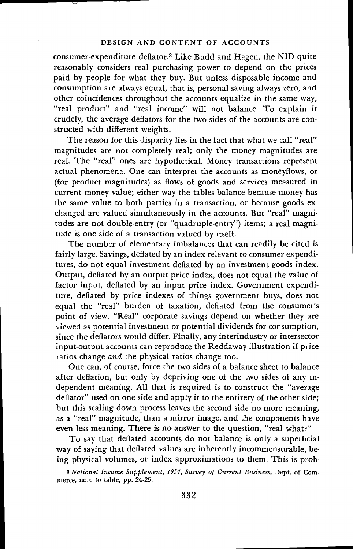consumer-expenditure deflator.3 Like Budd and Hagen, the NID quite reasonably considers real purchasing power to depend on the prices paid by people for what they buy. But unless disposable income and consumption are always equal, that is, personal saving always zero, and other coincidences throughout the accounts equalize in the same way, "real product" and "real income" will not balance. To explain it crudely, the average deflators for the two sides of the accounts are constructed with different weights.

The reason for this disparity lies in the fact that what we call "real" magnitudes are not completely real; only the money magnitudes are real. The "real" ones are hypothetical. Money transactions represent actual phenomena. One can interpret the accounts as moneyflows, or (for product magnitudes) as flows of goods and services measured in current money value; either way the tables balance because money has the same value to both parties in a transaction, or because goods exchanged are valued simultaneously in the accounts. But "real" magnitudes are not double-entry (or "quadruple-entry") items; a real magnitude is one side of a transaction valued by itself.

The number of elementary imbalances that can readily be cited is fairly large. Savings, deflated by an index relevant to consumer expenditures, do not equal investment deflated by an investment goods index. Output, deflated by an output price index, does not equal the value of factor input, deflated by an input price index. Government expenditure, deflated by price indexes of things government buys, does not equal the "real" burden of taxation, deflated from the consumer's point of view. "Real" corporate savings depend on whether they are viewed as potential investment or potential dividends for consumption, since the deflators would differ. Finally, any interindustry or intersector input-output accounts can reproduce the Reddaway illustration if price ratios change and the physical ratios change too.

One can, of course, force the two sides of a balance sheet to balance after deflation, but only by depriving one of the two sides of any independent meaning. All that is required is to construct the "average deflator" used on one side and apply it to the entirety of the other side; but this scaling down process leaves the second side no more meaning, as a "real" magnitude, than a mirror image, and the components have even less meaning. There is no answer to the question, "real what?"

To say that deflated accounts do not balance is only a superficial way of saying that deflated values are inherently incommensurable, being physical volumes, or index approximations to them. This is prob-

<sup>3</sup> National Income Supplement, 1954, Survey of Current Business, Dept. of Commerce, note to table, pp. 24-25.